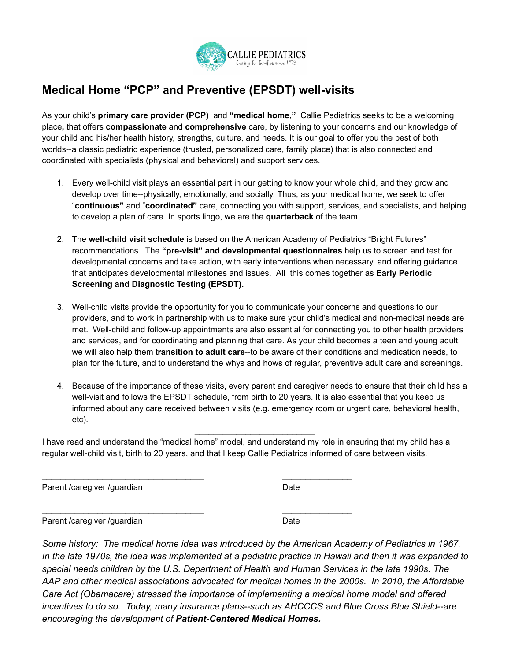

## **Medical Home "PCP" and Preventive (EPSDT) well-visits**

As your child's **primary care provider (PCP)** and **"medical home,"** Callie Pediatrics seeks to be a welcoming place**,** that offers **compassionate** and **comprehensive** care, by listening to your concerns and our knowledge of your child and his/her health history, strengths, culture, and needs. It is our goal to offer you the best of both worlds--a classic pediatric experience (trusted, personalized care, family place) that is also connected and coordinated with specialists (physical and behavioral) and support services.

- 1. Every well-child visit plays an essential part in our getting to know your whole child, and they grow and develop over time--physically, emotionally, and socially. Thus, as your medical home, we seek to offer "**continuous"** and "**coordinated"** care, connecting you with support, services, and specialists, and helping to develop a plan of care. In sports lingo, we are the **quarterback** of the team.
- 2. The **well-child visit schedule** is based on the American Academy of Pediatrics "Bright Futures" recommendations. The **"pre-visit" and developmental questionnaires** help us to screen and test for developmental concerns and take action, with early interventions when necessary, and offering guidance that anticipates developmental milestones and issues. All this comes together as **Early Periodic Screening and Diagnostic Testing (EPSDT).**
- 3. Well-child visits provide the opportunity for you to communicate your concerns and questions to our providers, and to work in partnership with us to make sure your child's medical and non-medical needs are met. Well-child and follow-up appointments are also essential for connecting you to other health providers and services, and for coordinating and planning that care. As your child becomes a teen and young adult, we will also help them t**ransition to adult care**--to be aware of their conditions and medication needs, to plan for the future, and to understand the whys and hows of regular, preventive adult care and screenings.
- 4. Because of the importance of these visits, every parent and caregiver needs to ensure that their child has a well-visit and follows the EPSDT schedule, from birth to 20 years. It is also essential that you keep us informed about any care received between visits (e.g. emergency room or urgent care, behavioral health, etc).

I have read and understand the "medical home" model, and understand my role in ensuring that my child has a regular well-child visit, birth to 20 years, and that I keep Callie Pediatrics informed of care between visits.

\_\_\_\_\_\_\_\_\_\_\_\_\_\_\_\_\_\_\_\_\_\_\_\_\_\_\_\_\_\_\_\_\_\_\_ \_\_\_\_\_\_\_\_\_\_\_\_\_\_\_

\_\_\_\_\_\_\_\_\_\_\_\_\_\_\_\_\_\_\_\_\_\_\_\_\_\_\_\_\_\_\_\_\_\_\_ \_\_\_\_\_\_\_\_\_\_\_\_\_\_\_

\_\_\_\_\_\_\_\_\_\_\_\_\_\_\_\_\_\_\_\_\_\_\_\_\_\_

Parent /caregiver /guardian Date

Parent /caregiver /guardian Date

*Some history: The medical home idea was introduced by the American Academy of Pediatrics in 1967.* In the late 1970s, the idea was implemented at a pediatric practice in Hawaii and then it was expanded to *special needs children by the U.S. Department of Health and Human Services in the late 1990s. The AAP and other medical associations advocated for medical homes in the 2000s. In 2010, the Affordable Care Act (Obamacare) stressed the importance of implementing a medical home model and offered incentives to do so. Today, many insurance plans--such as AHCCCS and Blue Cross Blue Shield--are encouraging the development of Patient-Centered Medical Homes.*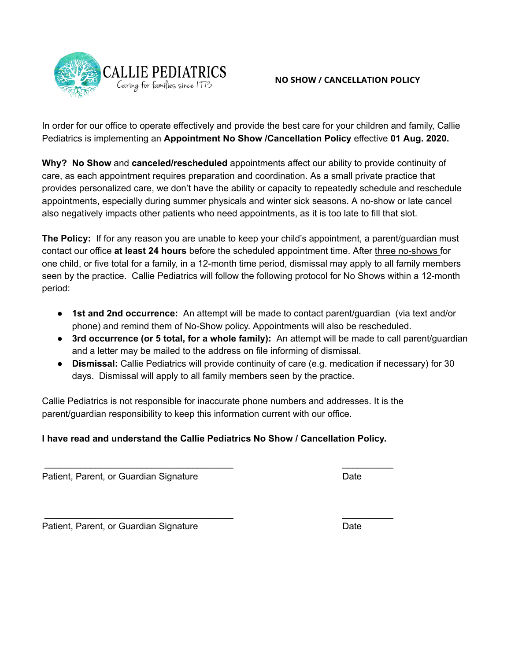

In order for our office to operate effectively and provide the best care for your children and family, Callie Pediatrics is implementing an **Appointment No Show /Cancellation Policy** effective **01 Aug. 2020.**

**Why? No Show** and **canceled/rescheduled** appointments affect our ability to provide continuity of care, as each appointment requires preparation and coordination. As a small private practice that provides personalized care, we don't have the ability or capacity to repeatedly schedule and reschedule appointments, especially during summer physicals and winter sick seasons. A no-show or late cancel also negatively impacts other patients who need appointments, as it is too late to fill that slot.

**The Policy:** If for any reason you are unable to keep your child's appointment, a parent/guardian must contact our office **at least 24 hours** before the scheduled appointment time. After three no-shows for one child, or five total for a family, in a 12-month time period, dismissal may apply to all family members seen by the practice. Callie Pediatrics will follow the following protocol for No Shows within a 12-month period:

- **1st and 2nd occurrence:** An attempt will be made to contact parent/guardian (via text and/or phone) and remind them of No-Show policy. Appointments will also be rescheduled.
- **3rd occurrence (or 5 total, for a whole family):** An attempt will be made to call parent/guardian and a letter may be mailed to the address on file informing of dismissal.
- **Dismissal:** Callie Pediatrics will provide continuity of care (e.g. medication if necessary) for 30 days. Dismissal will apply to all family members seen by the practice.

Callie Pediatrics is not responsible for inaccurate phone numbers and addresses. It is the parent/guardian responsibility to keep this information current with our office.

## **I have read and understand the Callie Pediatrics No Show / Cancellation Policy.**

 $\frac{1}{2}$  ,  $\frac{1}{2}$  ,  $\frac{1}{2}$  ,  $\frac{1}{2}$  ,  $\frac{1}{2}$  ,  $\frac{1}{2}$  ,  $\frac{1}{2}$  ,  $\frac{1}{2}$  ,  $\frac{1}{2}$  ,  $\frac{1}{2}$  ,  $\frac{1}{2}$  ,  $\frac{1}{2}$  ,  $\frac{1}{2}$  ,  $\frac{1}{2}$  ,  $\frac{1}{2}$  ,  $\frac{1}{2}$  ,  $\frac{1}{2}$  ,  $\frac{1}{2}$  ,  $\frac{1$ 

 $\frac{1}{2}$  ,  $\frac{1}{2}$  ,  $\frac{1}{2}$  ,  $\frac{1}{2}$  ,  $\frac{1}{2}$  ,  $\frac{1}{2}$  ,  $\frac{1}{2}$  ,  $\frac{1}{2}$  ,  $\frac{1}{2}$  ,  $\frac{1}{2}$  ,  $\frac{1}{2}$  ,  $\frac{1}{2}$  ,  $\frac{1}{2}$  ,  $\frac{1}{2}$  ,  $\frac{1}{2}$  ,  $\frac{1}{2}$  ,  $\frac{1}{2}$  ,  $\frac{1}{2}$  ,  $\frac{1$ 

Patient, Parent, or Guardian Signature Date Date Date

Patient, Parent, or Guardian Signature **Date** Date Date